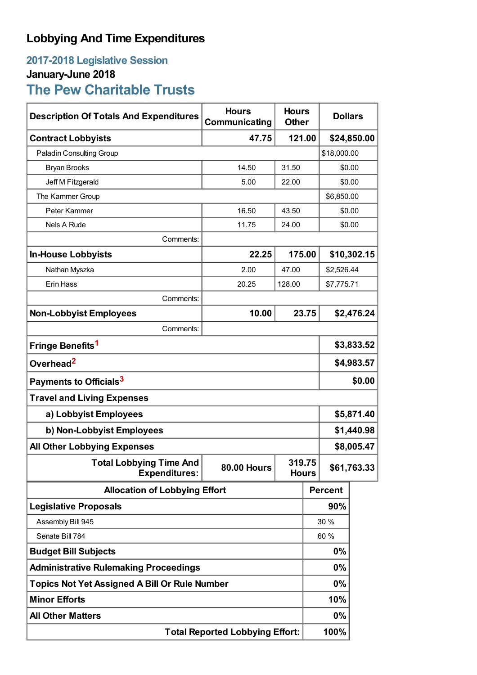## **Lobbying And Time Expenditures**

## **2017-2018 Legislative Session January-June 2018**

**The Pew Charitable Trusts**

| <b>Description Of Totals And Expenditures</b>          | <b>Hours</b><br>Communicating | <b>Hours</b><br><b>Other</b> |             |                | <b>Dollars</b> |  |
|--------------------------------------------------------|-------------------------------|------------------------------|-------------|----------------|----------------|--|
| <b>Contract Lobbyists</b>                              | 121.00<br>47.75               |                              |             | \$24,850.00    |                |  |
| Paladin Consulting Group                               |                               |                              | \$18,000.00 |                |                |  |
| <b>Bryan Brooks</b>                                    | 14.50                         | 31.50                        |             | \$0.00         |                |  |
| Jeff M Fitzgerald                                      | 5.00                          | 22.00                        |             | \$0.00         |                |  |
| The Kammer Group                                       |                               |                              | \$6,850.00  |                |                |  |
| Peter Kammer                                           | 16.50                         | 43.50                        |             | \$0.00         |                |  |
| <b>Nels A Rude</b>                                     | 11.75                         | 24.00                        |             | \$0.00         |                |  |
| Comments:                                              |                               |                              |             |                |                |  |
| <b>In-House Lobbyists</b>                              | 22.25                         | 175.00                       |             | \$10,302.15    |                |  |
| Nathan Myszka                                          | 2.00                          | 47.00                        |             | \$2,526.44     |                |  |
| Erin Hass                                              | 20.25                         | 128.00                       |             |                | \$7,775.71     |  |
| Comments:                                              |                               |                              |             |                |                |  |
| <b>Non-Lobbyist Employees</b>                          | 10.00                         | 23.75                        |             | \$2,476.24     |                |  |
| Comments:                                              |                               |                              |             |                |                |  |
| Fringe Benefits <sup>1</sup>                           |                               |                              |             | \$3,833.52     |                |  |
| Overhead <sup>2</sup>                                  |                               |                              |             | \$4,983.57     |                |  |
| Payments to Officials <sup>3</sup>                     |                               |                              |             | \$0.00         |                |  |
| <b>Travel and Living Expenses</b>                      |                               |                              |             |                |                |  |
| a) Lobbyist Employees                                  |                               |                              |             | \$5,871.40     |                |  |
| b) Non-Lobbyist Employees                              |                               |                              |             | \$1,440.98     |                |  |
| <b>All Other Lobbying Expenses</b>                     |                               |                              |             | \$8,005.47     |                |  |
| <b>Total Lobbying Time And</b><br><b>Expenditures:</b> | <b>80.00 Hours</b>            | 319.75<br><b>Hours</b>       |             | \$61,763.33    |                |  |
| <b>Allocation of Lobbying Effort</b>                   |                               |                              |             | <b>Percent</b> |                |  |
| <b>Legislative Proposals</b>                           |                               |                              |             | 90%            |                |  |
| Assembly Bill 945                                      |                               |                              | 30 %        |                |                |  |
| Senate Bill 784                                        |                               |                              | 60 %        |                |                |  |
| <b>Budget Bill Subjects</b>                            |                               |                              | 0%          |                |                |  |
| <b>Administrative Rulemaking Proceedings</b>           |                               |                              |             | 0%             |                |  |
| <b>Topics Not Yet Assigned A Bill Or Rule Number</b>   |                               |                              |             | 0%             |                |  |
| <b>Minor Efforts</b>                                   |                               |                              |             | 10%            |                |  |
| <b>All Other Matters</b>                               |                               |                              |             | $0\%$          |                |  |
| <b>Total Reported Lobbying Effort:</b>                 |                               |                              |             | 100%           |                |  |